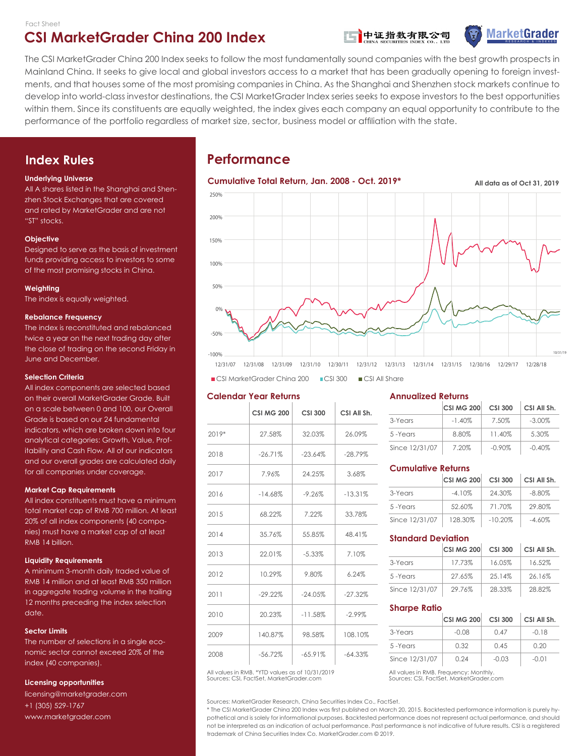

**MarketGrader** 

The CSI MarketGrader China 200 Index seeks to follow the most fundamentally sound companies with the best growth prospects in Mainland China. It seeks to give local and global investors access to a market that has been gradually opening to foreign investments, and that houses some of the most promising companies in China. As the Shanghai and Shenzhen stock markets continue to develop into world-class investor destinations, the CSI MarketGrader Index series seeks to expose investors to the best opportunities within them. Since its constituents are equally weighted, the index gives each company an equal opportunity to contribute to the performance of the portfolio regardless of market size, sector, business model or affiliation with the state.

## **Index Rules**

#### **Underlying Universe**

All A shares listed in the Shanghai and Shenzhen Stock Exchanges that are covered and rated by MarketGrader and are not "ST" stocks.

#### **Objective**

Designed to serve as the basis of investment funds providing access to investors to some of the most promising stocks in China.

#### **Weighting**

The index is equally weighted.

#### **Rebalance Frequency**

The index is reconstituted and rebalanced twice a year on the next trading day after the close of trading on the second Friday in June and December.

#### **Selection Criteria**

All index components are selected based on their overall MarketGrader Grade. Built on a scale between 0 and 100, our Overall Grade is based on our 24 fundamental indicators, which are broken down into four analytical categories: Growth, Value, Profitability and Cash Flow. All of our indicators and our overall grades are calculated daily for all companies under coverage.

#### **Market Cap Requirements**

All index constituents must have a minimum total market cap of RMB 700 million. At least 20% of all index components (40 companies) must have a market cap of at least RMB 14 billion.

#### **Liquidity Requirements**

A minimum 3-month daily traded value of RMB 14 million and at least RMB 350 million in aggregate trading volume in the trailing 12 months preceding the index selection date.

#### **Sector Limits**

The number of selections in a single economic sector cannot exceed 20% of the index (40 companies).

#### **Licensing opportunities**

licensing@marketgrader.com +1 (305) 529-1767 www.marketgrader.com

# **Performance**



CSI MarketGrader China 200 CSI 300 CSI All Share

#### **Calendar Year Returns**

|         | <b>CSI MG 200</b> | <b>CSI 300</b> | CSI All Sh. |
|---------|-------------------|----------------|-------------|
| $2019*$ | 27.58%            | 32.03%         | 26.09%      |
| 2018    | $-26.71%$         | $-23.64%$      | $-28.79%$   |
| 2017    | 7.96%             | 24.25%         | 3.68%       |
| 2016    | $-14.68%$         | $-9.26%$       | $-13.31%$   |
| 2015    | 68.22%            | 7.22%          | 33.78%      |
| 2014    | 35.76%            | 55.85%         | 48.41%      |
| 2013    | 22.01%            | $-5.33\%$      | 7.10%       |
| 2012    | 10.29%            | 9.80%          | 6.24%       |
| 2011    | $-29.22\%$        | $-24.05%$      | $-27.32%$   |
| 2010    | 20.23%            | $-11.58%$      | $-2.99%$    |
| 2009    | 140.87%           | 98.58%         | 108.10%     |
| 2008    | $-56.72%$         | $-65.91%$      | $-64.33%$   |

Sources: CSI, FactSet, MarketGrader.com All values in RMB. \*YTD values as of 10/31/2019 All values in RMB. Frequency: Monthly

Sources: MarketGrader Research, China Securities Index Co., FactSet.

\* The CSI MarketGrader China 200 Index was first published on March 20, 2015. Backtested performance information is purely hypothetical and is solely for informational purposes. Backtested performance does not represent actual performance, and should not be interpreted as an indication of actual performance. Past performance is not indicative of future results. CSI is a registered trademark of China Securities Index Co. MarketGrader.com © 2019.

#### **Annualized Returns**

|                | <b>CSI MG 200</b> | <b>CSI 300</b> | CSI All Sh. |
|----------------|-------------------|----------------|-------------|
| 3-Years        | $-1.40\%$         | 7.50%          | $-3.00\%$   |
| 5-Years        | 8.80%             | 11.40%         | 5.30%       |
| Since 12/31/07 | 7.20%             | $-0.90\%$      | $-0.40%$    |

#### **Cumulative Returns**

|                | <b>CSI MG 200</b> | <b>CSI 300</b> | CSI All Sh. |
|----------------|-------------------|----------------|-------------|
| 3-Years        | $-4.10%$          | 24.30%         | $-8.80\%$   |
| 5-Years        | 52.60%            | 71.70%         | 29.80%      |
| Since 12/31/07 | 128.30%           | $-10.20%$      | $-4.60\%$   |

#### **Standard Deviation**

| 13 | 22.01%     | $-5.33\%$  | 7.10%      |                | <b>CSI MG 200</b> | <b>CSI 300</b> | CSI All Sh. |
|----|------------|------------|------------|----------------|-------------------|----------------|-------------|
|    |            |            |            | 3-Years        | 17.73%            | 16.05%         | 16.52%      |
| 12 | 10.29%     | 9.80%      | 6.24%      | 5-Years        | 27.65%            | 25.14%         | 26.16%      |
|    | $-29.22\%$ | $-24.05\%$ | $-27.32\%$ | Since 12/31/07 | 29.76%            | 28.33%         | 28.82%      |

#### **Sharpe Ratio**

| 20.23%    | $-11.58\%$ | $-2.99\%$  |                | <b>CSI MG 200</b> | <b>CSI 300</b> | CSI All Sh. |
|-----------|------------|------------|----------------|-------------------|----------------|-------------|
| 140.87%   | 98.58%     | 108.10%    | 3-Years        | $-0.08$           | 0.47           | $-0.18$     |
|           |            |            | 5-Years        | 0.32              | 0.45           | 0.20        |
| $-56.72%$ | $-65.91\%$ | $-64.33\%$ | Since 12/31/07 | 0.24              | $-0.03$        | $-0.01$     |

Sources: CSI, FactSet, MarketGrader.com